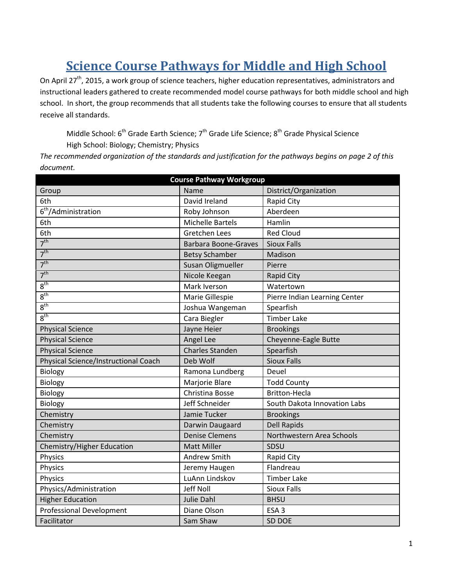# **Science Course Pathways for Middle and High School**

On April 27<sup>th</sup>, 2015, a work group of science teachers, higher education representatives, administrators and instructional leaders gathered to create recommended model course pathways for both middle school and high school. In short, the group recommends that all students take the following courses to ensure that all students receive all standards.

Middle School: 6<sup>th</sup> Grade Earth Science; 7<sup>th</sup> Grade Life Science; 8<sup>th</sup> Grade Physical Science High School: Biology; Chemistry; Physics

*The recommended organization of the standards and justification for the pathways begins on page 2 of this document.*

| <b>Course Pathway Workgroup</b>      |                             |                               |  |
|--------------------------------------|-----------------------------|-------------------------------|--|
| Group                                | Name                        | District/Organization         |  |
| 6th                                  | David Ireland               | Rapid City                    |  |
| 6 <sup>th</sup> /Administration      | Roby Johnson                | Aberdeen                      |  |
| 6th                                  | <b>Michelle Bartels</b>     | Hamlin                        |  |
| 6th                                  | <b>Gretchen Lees</b>        | <b>Red Cloud</b>              |  |
| 7 <sup>th</sup>                      | <b>Barbara Boone-Graves</b> | <b>Sioux Falls</b>            |  |
| 7 <sup>th</sup>                      | <b>Betsy Schamber</b>       | Madison                       |  |
| 7 <sup>th</sup>                      | Susan Oligmueller           | Pierre                        |  |
| 7 <sup>th</sup>                      | Nicole Keegan               | <b>Rapid City</b>             |  |
| 8 <sup>th</sup>                      | Mark Iverson                | Watertown                     |  |
| 8 <sup>th</sup>                      | Marie Gillespie             | Pierre Indian Learning Center |  |
| 8 <sup>th</sup>                      | Joshua Wangeman             | Spearfish                     |  |
| 8 <sup>th</sup>                      | Cara Biegler                | <b>Timber Lake</b>            |  |
| <b>Physical Science</b>              | Jayne Heier                 | <b>Brookings</b>              |  |
| <b>Physical Science</b>              | Angel Lee                   | Cheyenne-Eagle Butte          |  |
| <b>Physical Science</b>              | <b>Charles Standen</b>      | Spearfish                     |  |
| Physical Science/Instructional Coach | Deb Wolf                    | <b>Sioux Falls</b>            |  |
| Biology                              | Ramona Lundberg             | Deuel                         |  |
| Biology                              | Marjorie Blare              | <b>Todd County</b>            |  |
| Biology                              | Christina Bosse             | <b>Britton-Hecla</b>          |  |
| Biology                              | Jeff Schneider              | South Dakota Innovation Labs  |  |
| Chemistry                            | Jamie Tucker                | <b>Brookings</b>              |  |
| Chemistry                            | Darwin Daugaard             | <b>Dell Rapids</b>            |  |
| Chemistry                            | <b>Denise Clemens</b>       | Northwestern Area Schools     |  |
| Chemistry/Higher Education           | <b>Matt Miller</b>          | SDSU                          |  |
| Physics                              | Andrew Smith                | Rapid City                    |  |
| Physics                              | Jeremy Haugen               | Flandreau                     |  |
| Physics                              | LuAnn Lindskov              | <b>Timber Lake</b>            |  |
| Physics/Administration               | Jeff Noll                   | <b>Sioux Falls</b>            |  |
| <b>Higher Education</b>              | Julie Dahl                  | <b>BHSU</b>                   |  |
| <b>Professional Development</b>      | Diane Olson                 | ESA <sub>3</sub>              |  |
| Facilitator                          | Sam Shaw                    | SD DOE                        |  |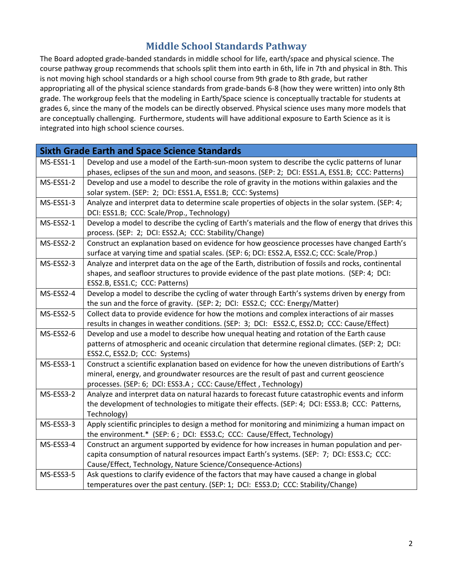### **Middle School Standards Pathway**

The Board adopted grade-banded standards in middle school for life, earth/space and physical science. The course pathway group recommends that schools split them into earth in 6th, life in 7th and physical in 8th. This is not moving high school standards or a high school course from 9th grade to 8th grade, but rather appropriating all of the physical science standards from grade-bands 6-8 (how they were written) into only 8th grade. The workgroup feels that the modeling in Earth/Space science is conceptually tractable for students at grades 6, since the many of the models can be directly observed. Physical science uses many more models that are conceptually challenging. Furthermore, students will have additional exposure to Earth Science as it is integrated into high school science courses.

|           | <b>Sixth Grade Earth and Space Science Standards</b>                                                          |
|-----------|---------------------------------------------------------------------------------------------------------------|
| MS-ESS1-1 | Develop and use a model of the Earth-sun-moon system to describe the cyclic patterns of lunar                 |
|           | phases, eclipses of the sun and moon, and seasons. (SEP: 2; DCI: ESS1.A, ESS1.B; CCC: Patterns)               |
| MS-ESS1-2 | Develop and use a model to describe the role of gravity in the motions within galaxies and the                |
|           | solar system. (SEP: 2; DCI: ESS1.A, ESS1.B; CCC: Systems)                                                     |
| MS-ESS1-3 | Analyze and interpret data to determine scale properties of objects in the solar system. (SEP: 4;             |
|           | DCI: ESS1.B; CCC: Scale/Prop., Technology)                                                                    |
| MS-ESS2-1 | Develop a model to describe the cycling of Earth's materials and the flow of energy that drives this          |
|           | process. (SEP: 2; DCI: ESS2.A; CCC: Stability/Change)                                                         |
| MS-ESS2-2 | Construct an explanation based on evidence for how geoscience processes have changed Earth's                  |
|           | surface at varying time and spatial scales. (SEP: 6; DCI: ESS2.A, ESS2.C; CCC: Scale/Prop.)                   |
| MS-ESS2-3 | Analyze and interpret data on the age of the Earth, distribution of fossils and rocks, continental            |
|           | shapes, and seafloor structures to provide evidence of the past plate motions. (SEP: 4; DCI:                  |
|           | ESS2.B, ESS1.C; CCC: Patterns)                                                                                |
| MS-ESS2-4 | Develop a model to describe the cycling of water through Earth's systems driven by energy from                |
|           | the sun and the force of gravity. (SEP: 2; DCI: ESS2.C; CCC: Energy/Matter)                                   |
| MS-ESS2-5 | Collect data to provide evidence for how the motions and complex interactions of air masses                   |
|           | results in changes in weather conditions. (SEP: 3; DCI: ESS2.C, ESS2.D; CCC: Cause/Effect)                    |
| MS-ESS2-6 | Develop and use a model to describe how unequal heating and rotation of the Earth cause                       |
|           | patterns of atmospheric and oceanic circulation that determine regional climates. (SEP: 2; DCI:               |
|           | ESS2.C, ESS2.D; CCC: Systems)                                                                                 |
| MS-ESS3-1 | Construct a scientific explanation based on evidence for how the uneven distributions of Earth's              |
|           | mineral, energy, and groundwater resources are the result of past and current geoscience                      |
|           | processes. (SEP: 6; DCI: ESS3.A ; CCC: Cause/Effect, Technology)                                              |
| MS-ESS3-2 | Analyze and interpret data on natural hazards to forecast future catastrophic events and inform               |
|           | the development of technologies to mitigate their effects. (SEP: 4; DCI: ESS3.B; CCC: Patterns,               |
| MS-ESS3-3 | Technology)<br>Apply scientific principles to design a method for monitoring and minimizing a human impact on |
|           | the environment.* (SEP: 6; DCI: ESS3.C; CCC: Cause/Effect, Technology)                                        |
| MS-ESS3-4 | Construct an argument supported by evidence for how increases in human population and per-                    |
|           | capita consumption of natural resources impact Earth's systems. (SEP: 7; DCI: ESS3.C; CCC:                    |
|           | Cause/Effect, Technology, Nature Science/Consequence-Actions)                                                 |
| MS-ESS3-5 | Ask questions to clarify evidence of the factors that may have caused a change in global                      |
|           | temperatures over the past century. (SEP: 1; DCI: ESS3.D; CCC: Stability/Change)                              |
|           |                                                                                                               |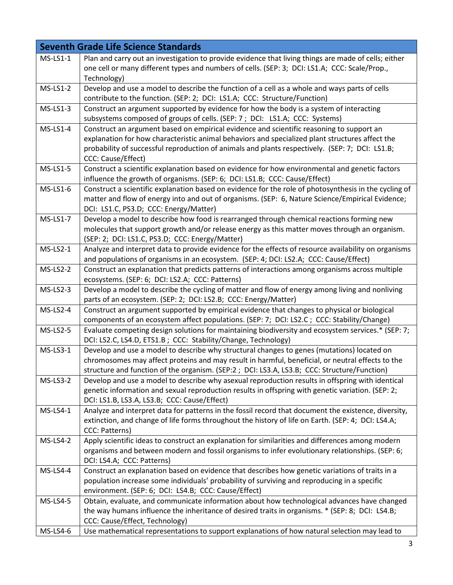|                 | <b>Seventh Grade Life Science Standards</b>                                                                                                                                                        |
|-----------------|----------------------------------------------------------------------------------------------------------------------------------------------------------------------------------------------------|
| $MS-LS1-1$      | Plan and carry out an investigation to provide evidence that living things are made of cells; either                                                                                               |
|                 | one cell or many different types and numbers of cells. (SEP: 3; DCI: LS1.A; CCC: Scale/Prop.,<br>Technology)                                                                                       |
| <b>MS-LS1-2</b> | Develop and use a model to describe the function of a cell as a whole and ways parts of cells                                                                                                      |
|                 | contribute to the function. (SEP: 2; DCI: LS1.A; CCC: Structure/Function)                                                                                                                          |
| $MS-LS1-3$      | Construct an argument supported by evidence for how the body is a system of interacting                                                                                                            |
|                 | subsystems composed of groups of cells. (SEP: 7; DCI: LS1.A; CCC: Systems)                                                                                                                         |
| $MS-LS1-4$      | Construct an argument based on empirical evidence and scientific reasoning to support an                                                                                                           |
|                 | explanation for how characteristic animal behaviors and specialized plant structures affect the<br>probability of successful reproduction of animals and plants respectively. (SEP: 7; DCI: LS1.B; |
|                 | CCC: Cause/Effect)                                                                                                                                                                                 |
| MS-LS1-5        | Construct a scientific explanation based on evidence for how environmental and genetic factors                                                                                                     |
|                 | influence the growth of organisms. (SEP: 6; DCI: LS1.B; CCC: Cause/Effect)                                                                                                                         |
| MS-LS1-6        | Construct a scientific explanation based on evidence for the role of photosynthesis in the cycling of                                                                                              |
|                 | matter and flow of energy into and out of organisms. (SEP: 6, Nature Science/Empirical Evidence;                                                                                                   |
|                 | DCI: LS1.C, PS3.D; CCC: Energy/Matter)                                                                                                                                                             |
| <b>MS-LS1-7</b> | Develop a model to describe how food is rearranged through chemical reactions forming new                                                                                                          |
|                 | molecules that support growth and/or release energy as this matter moves through an organism.<br>(SEP: 2; DCI: LS1.C, PS3.D; CCC: Energy/Matter)                                                   |
| $MS-LS2-1$      | Analyze and interpret data to provide evidence for the effects of resource availability on organisms                                                                                               |
|                 | and populations of organisms in an ecosystem. (SEP: 4; DCI: LS2.A; CCC: Cause/Effect)                                                                                                              |
| MS-LS2-2        | Construct an explanation that predicts patterns of interactions among organisms across multiple                                                                                                    |
|                 | ecosystems. (SEP: 6; DCI: LS2.A; CCC: Patterns)                                                                                                                                                    |
| $MS-LS2-3$      | Develop a model to describe the cycling of matter and flow of energy among living and nonliving                                                                                                    |
|                 | parts of an ecosystem. (SEP: 2; DCI: LS2.B; CCC: Energy/Matter)                                                                                                                                    |
| MS-LS2-4        | Construct an argument supported by empirical evidence that changes to physical or biological                                                                                                       |
|                 | components of an ecosystem affect populations. (SEP: 7; DCI: LS2.C; CCC: Stability/Change)                                                                                                         |
| $MS-LS2-5$      | Evaluate competing design solutions for maintaining biodiversity and ecosystem services.* (SEP: 7;                                                                                                 |
|                 | DCI: LS2.C, LS4.D, ETS1.B; CCC: Stability/Change, Technology)                                                                                                                                      |
| MS-LS3-1        | Develop and use a model to describe why structural changes to genes (mutations) located on<br>chromosomes may affect proteins and may result in harmful, beneficial, or neutral effects to the     |
|                 | structure and function of the organism. (SEP:2; DCI: LS3.A, LS3.B; CCC: Structure/Function)                                                                                                        |
| <b>MS-LS3-2</b> | Develop and use a model to describe why asexual reproduction results in offspring with identical                                                                                                   |
|                 | genetic information and sexual reproduction results in offspring with genetic variation. (SEP: 2;                                                                                                  |
|                 | DCI: LS1.B, LS3.A, LS3.B; CCC: Cause/Effect)                                                                                                                                                       |
| MS-LS4-1        | Analyze and interpret data for patterns in the fossil record that document the existence, diversity,                                                                                               |
|                 | extinction, and change of life forms throughout the history of life on Earth. (SEP: 4; DCI: LS4.A;                                                                                                 |
|                 | CCC: Patterns)                                                                                                                                                                                     |
| <b>MS-LS4-2</b> | Apply scientific ideas to construct an explanation for similarities and differences among modern                                                                                                   |
|                 | organisms and between modern and fossil organisms to infer evolutionary relationships. (SEP: 6;                                                                                                    |
|                 | DCI: LS4.A; CCC: Patterns)<br>Construct an explanation based on evidence that describes how genetic variations of traits in a                                                                      |
| MS-LS4-4        | population increase some individuals' probability of surviving and reproducing in a specific                                                                                                       |
|                 | environment. (SEP: 6; DCI: LS4.B; CCC: Cause/Effect)                                                                                                                                               |
| <b>MS-LS4-5</b> | Obtain, evaluate, and communicate information about how technological advances have changed                                                                                                        |
|                 | the way humans influence the inheritance of desired traits in organisms. * (SEP: 8; DCI: LS4.B;                                                                                                    |
|                 | CCC: Cause/Effect, Technology)                                                                                                                                                                     |
| MS-LS4-6        | Use mathematical representations to support explanations of how natural selection may lead to                                                                                                      |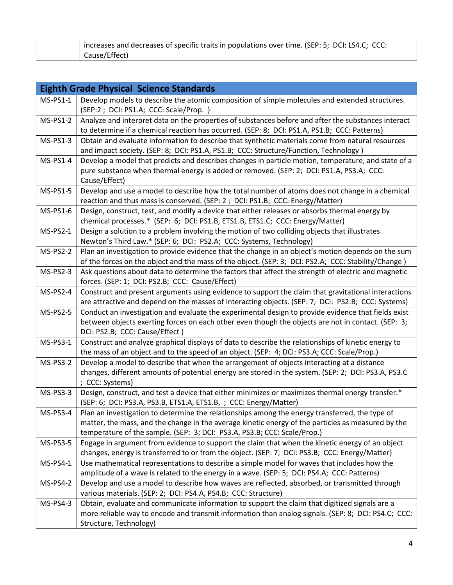| increases and decreases of specific traits in populations over time. (SEP: 5; DCI: LS4.C; CCC: |
|------------------------------------------------------------------------------------------------|
| Cause/Effect)                                                                                  |

|                 | <b>Eighth Grade Physical Science Standards</b>                                                                                                                                                                   |
|-----------------|------------------------------------------------------------------------------------------------------------------------------------------------------------------------------------------------------------------|
| $MS-PS1-1$      | Develop models to describe the atomic composition of simple molecules and extended structures.                                                                                                                   |
|                 | (SEP:2; DCI: PS1.A; CCC: Scale/Prop.)                                                                                                                                                                            |
| <b>MS-PS1-2</b> | Analyze and interpret data on the properties of substances before and after the substances interact                                                                                                              |
|                 | to determine if a chemical reaction has occurred. (SEP: 8; DCI: PS1.A, PS1.B; CCC: Patterns)                                                                                                                     |
| MS-PS1-3        | Obtain and evaluate information to describe that synthetic materials come from natural resources                                                                                                                 |
|                 | and impact society. (SEP: 8; DCI: PS1.A, PS1.B; CCC: Structure/Function, Technology)                                                                                                                             |
| MS-PS1-4        | Develop a model that predicts and describes changes in particle motion, temperature, and state of a<br>pure substance when thermal energy is added or removed. (SEP: 2; DCI: PS1.A, PS3.A; CCC:<br>Cause/Effect) |
| <b>MS-PS1-5</b> | Develop and use a model to describe how the total number of atoms does not change in a chemical                                                                                                                  |
|                 | reaction and thus mass is conserved. (SEP: 2 ; DCI: PS1.B; CCC: Energy/Matter)                                                                                                                                   |
| MS-PS1-6        | Design, construct, test, and modify a device that either releases or absorbs thermal energy by                                                                                                                   |
|                 | chemical processes.* (SEP: 6; DCI: PS1.B, ETS1.B, ETS1.C; CCC: Energy/Matter)                                                                                                                                    |
| $MS-PS2-1$      | Design a solution to a problem involving the motion of two colliding objects that illustrates                                                                                                                    |
|                 | Newton's Third Law.* (SEP: 6; DCI: PS2.A; CCC: Systems, Technology)                                                                                                                                              |
| <b>MS-PS2-2</b> | Plan an investigation to provide evidence that the change in an object's motion depends on the sum                                                                                                               |
|                 | of the forces on the object and the mass of the object. (SEP: 3; DCI: PS2.A; CCC: Stability/Change)                                                                                                              |
| MS-PS2-3        | Ask questions about data to determine the factors that affect the strength of electric and magnetic                                                                                                              |
|                 | forces. (SEP: 1; DCI: PS2.B; CCC: Cause/Effect)                                                                                                                                                                  |
| <b>MS-PS2-4</b> | Construct and present arguments using evidence to support the claim that gravitational interactions                                                                                                              |
|                 | are attractive and depend on the masses of interacting objects. (SEP: 7; DCI: PS2.B; CCC: Systems)                                                                                                               |
| <b>MS-PS2-5</b> | Conduct an investigation and evaluate the experimental design to provide evidence that fields exist                                                                                                              |
|                 | between objects exerting forces on each other even though the objects are not in contact. (SEP: 3;<br>DCI: PS2.B; CCC: Cause/Effect)                                                                             |
| MS-PS3-1        | Construct and analyze graphical displays of data to describe the relationships of kinetic energy to                                                                                                              |
|                 | the mass of an object and to the speed of an object. (SEP: 4; DCI: PS3.A; CCC: Scale/Prop.)                                                                                                                      |
| <b>MS-PS3-2</b> | Develop a model to describe that when the arrangement of objects interacting at a distance                                                                                                                       |
|                 | changes, different amounts of potential energy are stored in the system. (SEP: 2; DCI: PS3.A, PS3.C                                                                                                              |
|                 | ; CCC: Systems)                                                                                                                                                                                                  |
| MS-PS3-3        | Design, construct, and test a device that either minimizes or maximizes thermal energy transfer.*                                                                                                                |
|                 | (SEP: 6; DCI: PS3.A, PS3.B, ETS1.A, ETS1.B, ; CCC: Energy/Matter)                                                                                                                                                |
| <b>MS-PS3-4</b> | Plan an investigation to determine the relationships among the energy transferred, the type of                                                                                                                   |
|                 | matter, the mass, and the change in the average kinetic energy of the particles as measured by the                                                                                                               |
|                 | temperature of the sample. (SEP: 3; DCI: PS3.A, PS3.B; CCC: Scale/Prop.)                                                                                                                                         |
| <b>MS-PS3-5</b> | Engage in argument from evidence to support the claim that when the kinetic energy of an object                                                                                                                  |
|                 | changes, energy is transferred to or from the object. (SEP: 7; DCI: PS3.B; CCC: Energy/Matter)                                                                                                                   |
| MS-PS4-1        | Use mathematical representations to describe a simple model for waves that includes how the                                                                                                                      |
|                 | amplitude of a wave is related to the energy in a wave. (SEP: 5; DCI: PS4.A; CCC: Patterns)                                                                                                                      |
| <b>MS-PS4-2</b> | Develop and use a model to describe how waves are reflected, absorbed, or transmitted through                                                                                                                    |
|                 | various materials. (SEP: 2; DCI: PS4.A, PS4.B; CCC: Structure)                                                                                                                                                   |
| MS-PS4-3        | Obtain, evaluate and communicate information to support the claim that digitized signals are a                                                                                                                   |
|                 | more reliable way to encode and transmit information than analog signals. (SEP: 8; DCI: PS4.C; CCC:                                                                                                              |
|                 | Structure, Technology)                                                                                                                                                                                           |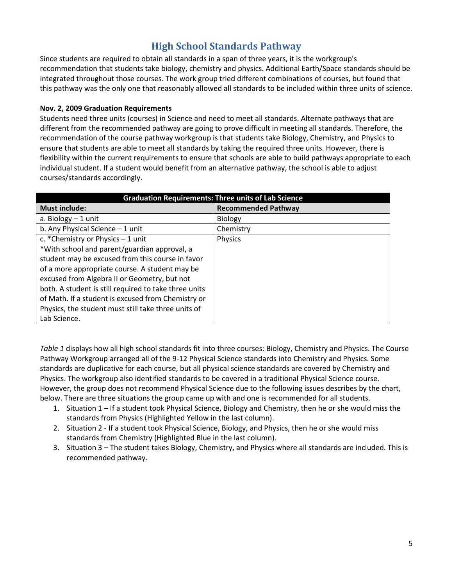### **High School Standards Pathway**

Since students are required to obtain all standards in a span of three years, it is the workgroup's recommendation that students take biology, chemistry and physics. Additional Earth/Space standards should be integrated throughout those courses. The work group tried different combinations of courses, but found that this pathway was the only one that reasonably allowed all standards to be included within three units of science.

#### **Nov. 2, 2009 Graduation Requirements**

Students need three units (courses) in Science and need to meet all standards. Alternate pathways that are different from the recommended pathway are going to prove difficult in meeting all standards. Therefore, the recommendation of the course pathway workgroup is that students take Biology, Chemistry, and Physics to ensure that students are able to meet all standards by taking the required three units. However, there is flexibility within the current requirements to ensure that schools are able to build pathways appropriate to each individual student. If a student would benefit from an alternative pathway, the school is able to adjust courses/standards accordingly.

| <b>Graduation Requirements: Three units of Lab Science</b> |                            |  |
|------------------------------------------------------------|----------------------------|--|
| <b>Must include:</b>                                       | <b>Recommended Pathway</b> |  |
| a. Biology $-1$ unit                                       | <b>Biology</b>             |  |
| b. Any Physical Science $-1$ unit                          | Chemistry                  |  |
| c. * Chemistry or Physics $-1$ unit                        | Physics                    |  |
| *With school and parent/guardian approval, a               |                            |  |
| student may be excused from this course in favor           |                            |  |
| of a more appropriate course. A student may be             |                            |  |
| excused from Algebra II or Geometry, but not               |                            |  |
| both. A student is still required to take three units      |                            |  |
| of Math. If a student is excused from Chemistry or         |                            |  |
| Physics, the student must still take three units of        |                            |  |
| Lab Science.                                               |                            |  |

*Table 1* displays how all high school standards fit into three courses: Biology, Chemistry and Physics. The Course Pathway Workgroup arranged all of the 9-12 Physical Science standards into Chemistry and Physics. Some standards are duplicative for each course, but all physical science standards are covered by Chemistry and Physics. The workgroup also identified standards to be covered in a traditional Physical Science course. However, the group does not recommend Physical Science due to the following issues describes by the chart, below. There are three situations the group came up with and one is recommended for all students.

- 1. Situation 1 If a student took Physical Science, Biology and Chemistry, then he or she would miss the standards from Physics (Highlighted Yellow in the last column).
- 2. Situation 2 If a student took Physical Science, Biology, and Physics, then he or she would miss standards from Chemistry (Highlighted Blue in the last column).
- 3. Situation 3 The student takes Biology, Chemistry, and Physics where all standards are included. This is recommended pathway.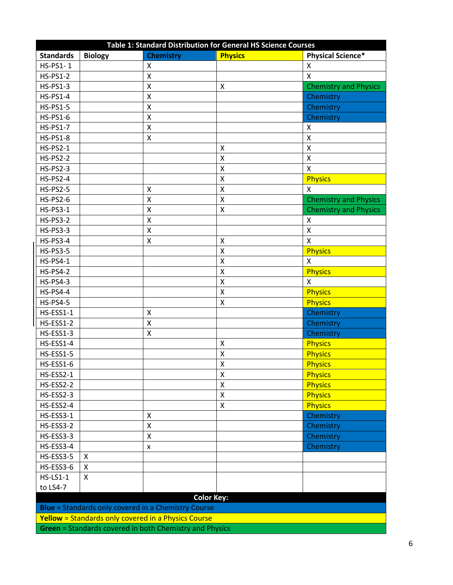| <b>Standards</b><br><b>Physics</b><br><b>Physical Science*</b><br><b>Biology</b><br><b>Chemistry</b><br>HS-PS1-1<br>X<br>X<br>$\pmb{\mathsf{X}}$<br>X<br><b>HS-PS1-2</b><br><b>HS-PS1-3</b><br>$\pmb{\mathsf{X}}$<br>Χ<br><b>HS-PS1-4</b><br>Chemistry<br>Χ<br>$\mathsf{\chi}$<br><b>HS-PS1-5</b><br>Chemistry<br><b>HS-PS1-6</b><br>$\pmb{\mathsf{X}}$<br>Chemistry<br>$\pmb{\mathsf{X}}$<br><b>HS-PS1-7</b><br>Χ<br><b>HS-PS1-8</b><br>X<br>Χ<br>$\pmb{\mathsf{X}}$<br><b>HS-PS2-1</b><br>Χ<br>$\mathsf{\chi}$<br>$\pmb{\mathsf{X}}$<br><b>HS-PS2-2</b><br><b>HS-PS2-3</b><br>Χ<br>X<br>$\pmb{\mathsf{X}}$<br><b>HS-PS2-4</b><br><b>Physics</b><br>$\pmb{\mathsf{X}}$<br>Χ<br><b>HS-PS2-5</b><br>Χ<br><b>HS-PS2-6</b><br>$\pmb{\mathsf{X}}$<br>$\pmb{\mathsf{X}}$<br>Χ<br><b>HS-PS3-1</b><br>Χ<br>$\pmb{\mathsf{X}}$<br><b>HS-PS3-2</b><br>$\pmb{\times}$<br><b>HS-PS3-3</b><br>$\pmb{\mathsf{X}}$<br>Χ<br>$\mathsf{X}$<br><b>HS-PS3-4</b><br>Χ<br>Χ<br>$\pmb{\mathsf{X}}$<br><b>Physics</b><br><b>HS-PS3-5</b><br><b>HS-PS4-1</b><br>$\mathsf{\chi}$<br>$\mathsf{x}$<br>$\mathsf{\overline{X}}$<br><b>Physics</b><br><b>HS-PS4-2</b><br><b>HS-PS4-3</b><br>$\pmb{\mathsf{X}}$<br>$\mathsf{X}$<br><b>HS-PS4-4</b><br>Χ<br><b>Physics</b><br>X<br><b>Physics</b><br><b>HS-PS4-5</b><br>Chemistry<br>HS-ESS1-1<br>Χ<br>HS-ESS1-2<br>Chemistry<br>$\pmb{\mathsf{X}}$<br>HS-ESS1-3<br>$\mathsf{X}$<br>Chemistry<br><b>Physics</b><br>HS-ESS1-4<br>X<br>HS-ESS1-5<br><b>Physics</b><br>Χ<br>HS-ESS1-6<br>Χ<br><b>Physics</b><br>HS-ESS2-1<br>$\mathsf{x}$<br><b>Physics</b><br>HS-ESS2-2<br><b>Physics</b><br>Χ<br>X<br>HS-ESS2-3<br><b>Physics</b><br><b>Physics</b><br>HS-ESS2-4<br>$\pmb{\mathsf{X}}$<br>Chemistry<br>HS-ESS3-1<br>X<br>HS-ESS3-2<br>Chemistry<br>Χ<br>$\pmb{\mathsf{X}}$<br>HS-ESS3-3<br>Chemistry<br>HS-ESS3-4<br>Chemistry<br>x<br>HS-ESS3-5<br>X<br>HS-ESS3-6<br>X<br><b>HS-LS1-1</b><br>X<br>to LS4-7<br><b>Color Key:</b> | Table 1: Standard Distribution for General HS Science Courses |  |  |  |                              |
|-------------------------------------------------------------------------------------------------------------------------------------------------------------------------------------------------------------------------------------------------------------------------------------------------------------------------------------------------------------------------------------------------------------------------------------------------------------------------------------------------------------------------------------------------------------------------------------------------------------------------------------------------------------------------------------------------------------------------------------------------------------------------------------------------------------------------------------------------------------------------------------------------------------------------------------------------------------------------------------------------------------------------------------------------------------------------------------------------------------------------------------------------------------------------------------------------------------------------------------------------------------------------------------------------------------------------------------------------------------------------------------------------------------------------------------------------------------------------------------------------------------------------------------------------------------------------------------------------------------------------------------------------------------------------------------------------------------------------------------------------------------------------------------------------------------------------------------------------------------------------------------------------------------------------------------------------|---------------------------------------------------------------|--|--|--|------------------------------|
|                                                                                                                                                                                                                                                                                                                                                                                                                                                                                                                                                                                                                                                                                                                                                                                                                                                                                                                                                                                                                                                                                                                                                                                                                                                                                                                                                                                                                                                                                                                                                                                                                                                                                                                                                                                                                                                                                                                                                 |                                                               |  |  |  |                              |
|                                                                                                                                                                                                                                                                                                                                                                                                                                                                                                                                                                                                                                                                                                                                                                                                                                                                                                                                                                                                                                                                                                                                                                                                                                                                                                                                                                                                                                                                                                                                                                                                                                                                                                                                                                                                                                                                                                                                                 |                                                               |  |  |  |                              |
|                                                                                                                                                                                                                                                                                                                                                                                                                                                                                                                                                                                                                                                                                                                                                                                                                                                                                                                                                                                                                                                                                                                                                                                                                                                                                                                                                                                                                                                                                                                                                                                                                                                                                                                                                                                                                                                                                                                                                 |                                                               |  |  |  |                              |
|                                                                                                                                                                                                                                                                                                                                                                                                                                                                                                                                                                                                                                                                                                                                                                                                                                                                                                                                                                                                                                                                                                                                                                                                                                                                                                                                                                                                                                                                                                                                                                                                                                                                                                                                                                                                                                                                                                                                                 |                                                               |  |  |  | <b>Chemistry and Physics</b> |
|                                                                                                                                                                                                                                                                                                                                                                                                                                                                                                                                                                                                                                                                                                                                                                                                                                                                                                                                                                                                                                                                                                                                                                                                                                                                                                                                                                                                                                                                                                                                                                                                                                                                                                                                                                                                                                                                                                                                                 |                                                               |  |  |  |                              |
|                                                                                                                                                                                                                                                                                                                                                                                                                                                                                                                                                                                                                                                                                                                                                                                                                                                                                                                                                                                                                                                                                                                                                                                                                                                                                                                                                                                                                                                                                                                                                                                                                                                                                                                                                                                                                                                                                                                                                 |                                                               |  |  |  |                              |
|                                                                                                                                                                                                                                                                                                                                                                                                                                                                                                                                                                                                                                                                                                                                                                                                                                                                                                                                                                                                                                                                                                                                                                                                                                                                                                                                                                                                                                                                                                                                                                                                                                                                                                                                                                                                                                                                                                                                                 |                                                               |  |  |  |                              |
|                                                                                                                                                                                                                                                                                                                                                                                                                                                                                                                                                                                                                                                                                                                                                                                                                                                                                                                                                                                                                                                                                                                                                                                                                                                                                                                                                                                                                                                                                                                                                                                                                                                                                                                                                                                                                                                                                                                                                 |                                                               |  |  |  |                              |
|                                                                                                                                                                                                                                                                                                                                                                                                                                                                                                                                                                                                                                                                                                                                                                                                                                                                                                                                                                                                                                                                                                                                                                                                                                                                                                                                                                                                                                                                                                                                                                                                                                                                                                                                                                                                                                                                                                                                                 |                                                               |  |  |  |                              |
|                                                                                                                                                                                                                                                                                                                                                                                                                                                                                                                                                                                                                                                                                                                                                                                                                                                                                                                                                                                                                                                                                                                                                                                                                                                                                                                                                                                                                                                                                                                                                                                                                                                                                                                                                                                                                                                                                                                                                 |                                                               |  |  |  |                              |
|                                                                                                                                                                                                                                                                                                                                                                                                                                                                                                                                                                                                                                                                                                                                                                                                                                                                                                                                                                                                                                                                                                                                                                                                                                                                                                                                                                                                                                                                                                                                                                                                                                                                                                                                                                                                                                                                                                                                                 |                                                               |  |  |  |                              |
|                                                                                                                                                                                                                                                                                                                                                                                                                                                                                                                                                                                                                                                                                                                                                                                                                                                                                                                                                                                                                                                                                                                                                                                                                                                                                                                                                                                                                                                                                                                                                                                                                                                                                                                                                                                                                                                                                                                                                 |                                                               |  |  |  |                              |
|                                                                                                                                                                                                                                                                                                                                                                                                                                                                                                                                                                                                                                                                                                                                                                                                                                                                                                                                                                                                                                                                                                                                                                                                                                                                                                                                                                                                                                                                                                                                                                                                                                                                                                                                                                                                                                                                                                                                                 |                                                               |  |  |  |                              |
|                                                                                                                                                                                                                                                                                                                                                                                                                                                                                                                                                                                                                                                                                                                                                                                                                                                                                                                                                                                                                                                                                                                                                                                                                                                                                                                                                                                                                                                                                                                                                                                                                                                                                                                                                                                                                                                                                                                                                 |                                                               |  |  |  |                              |
|                                                                                                                                                                                                                                                                                                                                                                                                                                                                                                                                                                                                                                                                                                                                                                                                                                                                                                                                                                                                                                                                                                                                                                                                                                                                                                                                                                                                                                                                                                                                                                                                                                                                                                                                                                                                                                                                                                                                                 |                                                               |  |  |  | <b>Chemistry and Physics</b> |
|                                                                                                                                                                                                                                                                                                                                                                                                                                                                                                                                                                                                                                                                                                                                                                                                                                                                                                                                                                                                                                                                                                                                                                                                                                                                                                                                                                                                                                                                                                                                                                                                                                                                                                                                                                                                                                                                                                                                                 |                                                               |  |  |  | <b>Chemistry and Physics</b> |
|                                                                                                                                                                                                                                                                                                                                                                                                                                                                                                                                                                                                                                                                                                                                                                                                                                                                                                                                                                                                                                                                                                                                                                                                                                                                                                                                                                                                                                                                                                                                                                                                                                                                                                                                                                                                                                                                                                                                                 |                                                               |  |  |  |                              |
|                                                                                                                                                                                                                                                                                                                                                                                                                                                                                                                                                                                                                                                                                                                                                                                                                                                                                                                                                                                                                                                                                                                                                                                                                                                                                                                                                                                                                                                                                                                                                                                                                                                                                                                                                                                                                                                                                                                                                 |                                                               |  |  |  |                              |
|                                                                                                                                                                                                                                                                                                                                                                                                                                                                                                                                                                                                                                                                                                                                                                                                                                                                                                                                                                                                                                                                                                                                                                                                                                                                                                                                                                                                                                                                                                                                                                                                                                                                                                                                                                                                                                                                                                                                                 |                                                               |  |  |  |                              |
|                                                                                                                                                                                                                                                                                                                                                                                                                                                                                                                                                                                                                                                                                                                                                                                                                                                                                                                                                                                                                                                                                                                                                                                                                                                                                                                                                                                                                                                                                                                                                                                                                                                                                                                                                                                                                                                                                                                                                 |                                                               |  |  |  |                              |
|                                                                                                                                                                                                                                                                                                                                                                                                                                                                                                                                                                                                                                                                                                                                                                                                                                                                                                                                                                                                                                                                                                                                                                                                                                                                                                                                                                                                                                                                                                                                                                                                                                                                                                                                                                                                                                                                                                                                                 |                                                               |  |  |  |                              |
|                                                                                                                                                                                                                                                                                                                                                                                                                                                                                                                                                                                                                                                                                                                                                                                                                                                                                                                                                                                                                                                                                                                                                                                                                                                                                                                                                                                                                                                                                                                                                                                                                                                                                                                                                                                                                                                                                                                                                 |                                                               |  |  |  |                              |
|                                                                                                                                                                                                                                                                                                                                                                                                                                                                                                                                                                                                                                                                                                                                                                                                                                                                                                                                                                                                                                                                                                                                                                                                                                                                                                                                                                                                                                                                                                                                                                                                                                                                                                                                                                                                                                                                                                                                                 |                                                               |  |  |  |                              |
|                                                                                                                                                                                                                                                                                                                                                                                                                                                                                                                                                                                                                                                                                                                                                                                                                                                                                                                                                                                                                                                                                                                                                                                                                                                                                                                                                                                                                                                                                                                                                                                                                                                                                                                                                                                                                                                                                                                                                 |                                                               |  |  |  |                              |
|                                                                                                                                                                                                                                                                                                                                                                                                                                                                                                                                                                                                                                                                                                                                                                                                                                                                                                                                                                                                                                                                                                                                                                                                                                                                                                                                                                                                                                                                                                                                                                                                                                                                                                                                                                                                                                                                                                                                                 |                                                               |  |  |  |                              |
|                                                                                                                                                                                                                                                                                                                                                                                                                                                                                                                                                                                                                                                                                                                                                                                                                                                                                                                                                                                                                                                                                                                                                                                                                                                                                                                                                                                                                                                                                                                                                                                                                                                                                                                                                                                                                                                                                                                                                 |                                                               |  |  |  |                              |
|                                                                                                                                                                                                                                                                                                                                                                                                                                                                                                                                                                                                                                                                                                                                                                                                                                                                                                                                                                                                                                                                                                                                                                                                                                                                                                                                                                                                                                                                                                                                                                                                                                                                                                                                                                                                                                                                                                                                                 |                                                               |  |  |  |                              |
|                                                                                                                                                                                                                                                                                                                                                                                                                                                                                                                                                                                                                                                                                                                                                                                                                                                                                                                                                                                                                                                                                                                                                                                                                                                                                                                                                                                                                                                                                                                                                                                                                                                                                                                                                                                                                                                                                                                                                 |                                                               |  |  |  |                              |
|                                                                                                                                                                                                                                                                                                                                                                                                                                                                                                                                                                                                                                                                                                                                                                                                                                                                                                                                                                                                                                                                                                                                                                                                                                                                                                                                                                                                                                                                                                                                                                                                                                                                                                                                                                                                                                                                                                                                                 |                                                               |  |  |  |                              |
|                                                                                                                                                                                                                                                                                                                                                                                                                                                                                                                                                                                                                                                                                                                                                                                                                                                                                                                                                                                                                                                                                                                                                                                                                                                                                                                                                                                                                                                                                                                                                                                                                                                                                                                                                                                                                                                                                                                                                 |                                                               |  |  |  |                              |
|                                                                                                                                                                                                                                                                                                                                                                                                                                                                                                                                                                                                                                                                                                                                                                                                                                                                                                                                                                                                                                                                                                                                                                                                                                                                                                                                                                                                                                                                                                                                                                                                                                                                                                                                                                                                                                                                                                                                                 |                                                               |  |  |  |                              |
|                                                                                                                                                                                                                                                                                                                                                                                                                                                                                                                                                                                                                                                                                                                                                                                                                                                                                                                                                                                                                                                                                                                                                                                                                                                                                                                                                                                                                                                                                                                                                                                                                                                                                                                                                                                                                                                                                                                                                 |                                                               |  |  |  |                              |
|                                                                                                                                                                                                                                                                                                                                                                                                                                                                                                                                                                                                                                                                                                                                                                                                                                                                                                                                                                                                                                                                                                                                                                                                                                                                                                                                                                                                                                                                                                                                                                                                                                                                                                                                                                                                                                                                                                                                                 |                                                               |  |  |  |                              |
|                                                                                                                                                                                                                                                                                                                                                                                                                                                                                                                                                                                                                                                                                                                                                                                                                                                                                                                                                                                                                                                                                                                                                                                                                                                                                                                                                                                                                                                                                                                                                                                                                                                                                                                                                                                                                                                                                                                                                 |                                                               |  |  |  |                              |
|                                                                                                                                                                                                                                                                                                                                                                                                                                                                                                                                                                                                                                                                                                                                                                                                                                                                                                                                                                                                                                                                                                                                                                                                                                                                                                                                                                                                                                                                                                                                                                                                                                                                                                                                                                                                                                                                                                                                                 |                                                               |  |  |  |                              |
|                                                                                                                                                                                                                                                                                                                                                                                                                                                                                                                                                                                                                                                                                                                                                                                                                                                                                                                                                                                                                                                                                                                                                                                                                                                                                                                                                                                                                                                                                                                                                                                                                                                                                                                                                                                                                                                                                                                                                 |                                                               |  |  |  |                              |
|                                                                                                                                                                                                                                                                                                                                                                                                                                                                                                                                                                                                                                                                                                                                                                                                                                                                                                                                                                                                                                                                                                                                                                                                                                                                                                                                                                                                                                                                                                                                                                                                                                                                                                                                                                                                                                                                                                                                                 |                                                               |  |  |  |                              |
|                                                                                                                                                                                                                                                                                                                                                                                                                                                                                                                                                                                                                                                                                                                                                                                                                                                                                                                                                                                                                                                                                                                                                                                                                                                                                                                                                                                                                                                                                                                                                                                                                                                                                                                                                                                                                                                                                                                                                 |                                                               |  |  |  |                              |
|                                                                                                                                                                                                                                                                                                                                                                                                                                                                                                                                                                                                                                                                                                                                                                                                                                                                                                                                                                                                                                                                                                                                                                                                                                                                                                                                                                                                                                                                                                                                                                                                                                                                                                                                                                                                                                                                                                                                                 |                                                               |  |  |  |                              |
|                                                                                                                                                                                                                                                                                                                                                                                                                                                                                                                                                                                                                                                                                                                                                                                                                                                                                                                                                                                                                                                                                                                                                                                                                                                                                                                                                                                                                                                                                                                                                                                                                                                                                                                                                                                                                                                                                                                                                 |                                                               |  |  |  |                              |
|                                                                                                                                                                                                                                                                                                                                                                                                                                                                                                                                                                                                                                                                                                                                                                                                                                                                                                                                                                                                                                                                                                                                                                                                                                                                                                                                                                                                                                                                                                                                                                                                                                                                                                                                                                                                                                                                                                                                                 |                                                               |  |  |  |                              |
|                                                                                                                                                                                                                                                                                                                                                                                                                                                                                                                                                                                                                                                                                                                                                                                                                                                                                                                                                                                                                                                                                                                                                                                                                                                                                                                                                                                                                                                                                                                                                                                                                                                                                                                                                                                                                                                                                                                                                 |                                                               |  |  |  |                              |
|                                                                                                                                                                                                                                                                                                                                                                                                                                                                                                                                                                                                                                                                                                                                                                                                                                                                                                                                                                                                                                                                                                                                                                                                                                                                                                                                                                                                                                                                                                                                                                                                                                                                                                                                                                                                                                                                                                                                                 |                                                               |  |  |  |                              |
|                                                                                                                                                                                                                                                                                                                                                                                                                                                                                                                                                                                                                                                                                                                                                                                                                                                                                                                                                                                                                                                                                                                                                                                                                                                                                                                                                                                                                                                                                                                                                                                                                                                                                                                                                                                                                                                                                                                                                 |                                                               |  |  |  |                              |
| <b>Blue</b> = Standards only covered in a Chemistry Course                                                                                                                                                                                                                                                                                                                                                                                                                                                                                                                                                                                                                                                                                                                                                                                                                                                                                                                                                                                                                                                                                                                                                                                                                                                                                                                                                                                                                                                                                                                                                                                                                                                                                                                                                                                                                                                                                      |                                                               |  |  |  |                              |
| <b>Yellow</b> = Standards only covered in a Physics Course                                                                                                                                                                                                                                                                                                                                                                                                                                                                                                                                                                                                                                                                                                                                                                                                                                                                                                                                                                                                                                                                                                                                                                                                                                                                                                                                                                                                                                                                                                                                                                                                                                                                                                                                                                                                                                                                                      |                                                               |  |  |  |                              |
| Green = Standards covered in both Chemistry and Physics                                                                                                                                                                                                                                                                                                                                                                                                                                                                                                                                                                                                                                                                                                                                                                                                                                                                                                                                                                                                                                                                                                                                                                                                                                                                                                                                                                                                                                                                                                                                                                                                                                                                                                                                                                                                                                                                                         |                                                               |  |  |  |                              |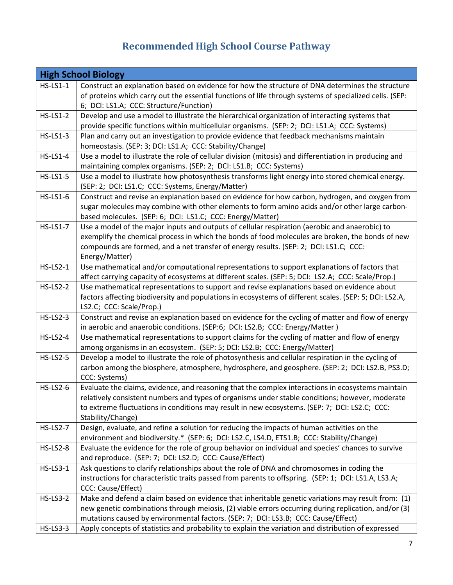## **Recommended High School Course Pathway**

|                 | <b>High School Biology</b>                                                                                                                                  |
|-----------------|-------------------------------------------------------------------------------------------------------------------------------------------------------------|
| <b>HS-LS1-1</b> | Construct an explanation based on evidence for how the structure of DNA determines the structure                                                            |
|                 | of proteins which carry out the essential functions of life through systems of specialized cells. (SEP:                                                     |
|                 | 6; DCI: LS1.A; CCC: Structure/Function)                                                                                                                     |
| <b>HS-LS1-2</b> | Develop and use a model to illustrate the hierarchical organization of interacting systems that                                                             |
|                 | provide specific functions within multicellular organisms. (SEP: 2; DCI: LS1.A; CCC: Systems)                                                               |
| <b>HS-LS1-3</b> | Plan and carry out an investigation to provide evidence that feedback mechanisms maintain                                                                   |
|                 | homeostasis. (SEP: 3; DCI: LS1.A; CCC: Stability/Change)                                                                                                    |
| <b>HS-LS1-4</b> | Use a model to illustrate the role of cellular division (mitosis) and differentiation in producing and                                                      |
|                 | maintaining complex organisms. (SEP: 2; DCI: LS1.B; CCC: Systems)                                                                                           |
| <b>HS-LS1-5</b> | Use a model to illustrate how photosynthesis transforms light energy into stored chemical energy.                                                           |
|                 | (SEP: 2; DCI: LS1.C; CCC: Systems, Energy/Matter)                                                                                                           |
| <b>HS-LS1-6</b> | Construct and revise an explanation based on evidence for how carbon, hydrogen, and oxygen from                                                             |
|                 | sugar molecules may combine with other elements to form amino acids and/or other large carbon-                                                              |
| <b>HS-LS1-7</b> | based molecules. (SEP: 6; DCI: LS1.C; CCC: Energy/Matter)<br>Use a model of the major inputs and outputs of cellular respiration (aerobic and anaerobic) to |
|                 | exemplify the chemical process in which the bonds of food molecules are broken, the bonds of new                                                            |
|                 | compounds are formed, and a net transfer of energy results. (SEP: 2; DCI: LS1.C; CCC:                                                                       |
|                 | Energy/Matter)                                                                                                                                              |
| <b>HS-LS2-1</b> | Use mathematical and/or computational representations to support explanations of factors that                                                               |
|                 | affect carrying capacity of ecosystems at different scales. (SEP: 5; DCI: LS2.A; CCC: Scale/Prop.)                                                          |
| <b>HS-LS2-2</b> | Use mathematical representations to support and revise explanations based on evidence about                                                                 |
|                 | factors affecting biodiversity and populations in ecosystems of different scales. (SEP: 5; DCI: LS2.A,                                                      |
|                 | LS2.C; CCC: Scale/Prop.)                                                                                                                                    |
| <b>HS-LS2-3</b> | Construct and revise an explanation based on evidence for the cycling of matter and flow of energy                                                          |
|                 | in aerobic and anaerobic conditions. (SEP:6; DCI: LS2.B; CCC: Energy/Matter)                                                                                |
| <b>HS-LS2-4</b> | Use mathematical representations to support claims for the cycling of matter and flow of energy                                                             |
|                 | among organisms in an ecosystem. (SEP: 5; DCI: LS2.B; CCC: Energy/Matter)                                                                                   |
| <b>HS-LS2-5</b> | Develop a model to illustrate the role of photosynthesis and cellular respiration in the cycling of                                                         |
|                 | carbon among the biosphere, atmosphere, hydrosphere, and geosphere. (SEP: 2; DCI: LS2.B, PS3.D;                                                             |
|                 | CCC: Systems)                                                                                                                                               |
| <b>HS-LS2-6</b> | Evaluate the claims, evidence, and reasoning that the complex interactions in ecosystems maintain                                                           |
|                 | relatively consistent numbers and types of organisms under stable conditions; however, moderate                                                             |
|                 | to extreme fluctuations in conditions may result in new ecosystems. (SEP: 7; DCI: LS2.C; CCC:                                                               |
| <b>HS-LS2-7</b> | Stability/Change)<br>Design, evaluate, and refine a solution for reducing the impacts of human activities on the                                            |
|                 | environment and biodiversity.* (SEP: 6; DCI: LS2.C, LS4.D, ETS1.B; CCC: Stability/Change)                                                                   |
| <b>HS-LS2-8</b> | Evaluate the evidence for the role of group behavior on individual and species' chances to survive                                                          |
|                 | and reproduce. (SEP: 7; DCI: LS2.D; CCC: Cause/Effect)                                                                                                      |
| <b>HS-LS3-1</b> | Ask questions to clarify relationships about the role of DNA and chromosomes in coding the                                                                  |
|                 | instructions for characteristic traits passed from parents to offspring. (SEP: 1; DCI: LS1.A, LS3.A;                                                        |
|                 | CCC: Cause/Effect)                                                                                                                                          |
| <b>HS-LS3-2</b> | Make and defend a claim based on evidence that inheritable genetic variations may result from: (1)                                                          |
|                 | new genetic combinations through meiosis, (2) viable errors occurring during replication, and/or (3)                                                        |
|                 | mutations caused by environmental factors. (SEP: 7; DCI: LS3.B; CCC: Cause/Effect)                                                                          |
| <b>HS-LS3-3</b> | Apply concepts of statistics and probability to explain the variation and distribution of expressed                                                         |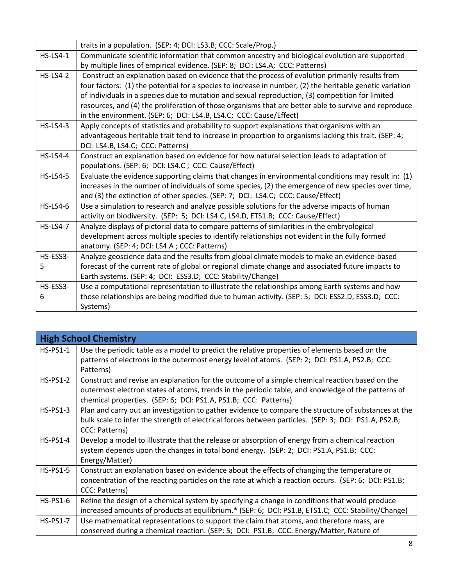|                 | traits in a population. (SEP: 4; DCI: LS3.B; CCC: Scale/Prop.)                                           |
|-----------------|----------------------------------------------------------------------------------------------------------|
| $HS-LS4-1$      | Communicate scientific information that common ancestry and biological evolution are supported           |
|                 | by multiple lines of empirical evidence. (SEP: 8; DCI: LS4.A; CCC: Patterns)                             |
| <b>HS-LS4-2</b> | Construct an explanation based on evidence that the process of evolution primarily results from          |
|                 | four factors: (1) the potential for a species to increase in number, (2) the heritable genetic variation |
|                 | of individuals in a species due to mutation and sexual reproduction, (3) competition for limited         |
|                 | resources, and (4) the proliferation of those organisms that are better able to survive and reproduce    |
|                 | in the environment. (SEP: 6; DCI: LS4.B, LS4.C; CCC: Cause/Effect)                                       |
| $HS$ -LS4-3     | Apply concepts of statistics and probability to support explanations that organisms with an              |
|                 | advantageous heritable trait tend to increase in proportion to organisms lacking this trait. (SEP: 4;    |
|                 | DCI: LS4.B, LS4.C; CCC: Patterns)                                                                        |
| $HS$ -LS4-4     | Construct an explanation based on evidence for how natural selection leads to adaptation of              |
|                 | populations. (SEP: 6; DCI: LS4.C; CCC: Cause/Effect)                                                     |
| <b>HS-LS4-5</b> | Evaluate the evidence supporting claims that changes in environmental conditions may result in: (1)      |
|                 | increases in the number of individuals of some species, (2) the emergence of new species over time,      |
|                 | and (3) the extinction of other species. (SEP: 7; DCI: LS4.C; CCC: Cause/Effect)                         |
| $HS$ -LS4-6     | Use a simulation to research and analyze possible solutions for the adverse impacts of human             |
|                 | activity on biodiversity. (SEP: 5; DCI: LS4.C, LS4.D, ETS1.B; CCC: Cause/Effect)                         |
| <b>HS-LS4-7</b> | Analyze displays of pictorial data to compare patterns of similarities in the embryological              |
|                 | development across multiple species to identify relationships not evident in the fully formed            |
|                 | anatomy. (SEP: 4; DCI: LS4.A; CCC: Patterns)                                                             |
| HS-ESS3-        | Analyze geoscience data and the results from global climate models to make an evidence-based             |
| 5               | forecast of the current rate of global or regional climate change and associated future impacts to       |
|                 | Earth systems. (SEP: 4; DCI: ESS3.D; CCC: Stability/Change)                                              |
| HS-ESS3-        | Use a computational representation to illustrate the relationships among Earth systems and how           |
| 6               | those relationships are being modified due to human activity. (SEP: 5; DCI: ESS2.D, ESS3.D; CCC:         |
|                 | Systems)                                                                                                 |

|                 | <b>High School Chemistry</b>                                                                                                                                                                                                                                            |
|-----------------|-------------------------------------------------------------------------------------------------------------------------------------------------------------------------------------------------------------------------------------------------------------------------|
| $HS-PS1-1$      | Use the periodic table as a model to predict the relative properties of elements based on the<br>patterns of electrons in the outermost energy level of atoms. (SEP: 2; DCI: PS1.A, PS2.B; CCC:<br>Patterns)                                                            |
| $HS-PS1-2$      | Construct and revise an explanation for the outcome of a simple chemical reaction based on the<br>outermost electron states of atoms, trends in the periodic table, and knowledge of the patterns of<br>chemical properties. (SEP: 6; DCI: PS1.A, PS1.B; CCC: Patterns) |
| $HS-PS1-3$      | Plan and carry out an investigation to gather evidence to compare the structure of substances at the<br>bulk scale to infer the strength of electrical forces between particles. (SEP: 3; DCI: PS1.A, PS2.B;<br>CCC: Patterns)                                          |
| $HS-PS1-4$      | Develop a model to illustrate that the release or absorption of energy from a chemical reaction<br>system depends upon the changes in total bond energy. (SEP: 2; DCI: PS1.A, PS1.B; CCC:<br>Energy/Matter)                                                             |
| <b>HS-PS1-5</b> | Construct an explanation based on evidence about the effects of changing the temperature or<br>concentration of the reacting particles on the rate at which a reaction occurs. (SEP: 6; DCI: PS1.B;<br>CCC: Patterns)                                                   |
| $HS-PS1-6$      | Refine the design of a chemical system by specifying a change in conditions that would produce<br>increased amounts of products at equilibrium.* (SEP: 6; DCI: PS1.B, ETS1.C; CCC: Stability/Change)                                                                    |
| $HS-PS1-7$      | Use mathematical representations to support the claim that atoms, and therefore mass, are<br>conserved during a chemical reaction. (SEP: 5; DCI: PS1.B; CCC: Energy/Matter, Nature of                                                                                   |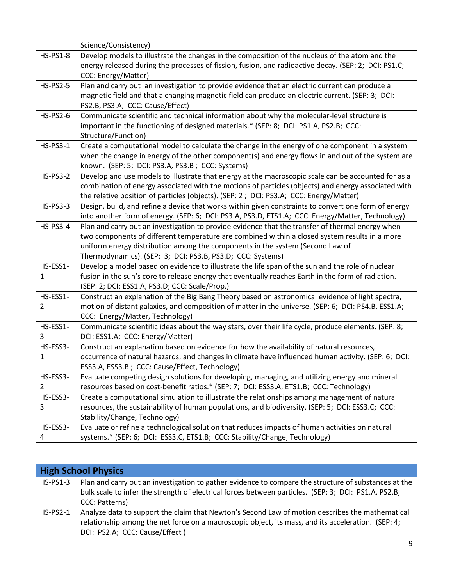|                 | Science/Consistency)                                                                                 |
|-----------------|------------------------------------------------------------------------------------------------------|
| <b>HS-PS1-8</b> | Develop models to illustrate the changes in the composition of the nucleus of the atom and the       |
|                 | energy released during the processes of fission, fusion, and radioactive decay. (SEP: 2; DCI: PS1.C; |
|                 | CCC: Energy/Matter)                                                                                  |
| $HS-PS2-5$      | Plan and carry out an investigation to provide evidence that an electric current can produce a       |
|                 | magnetic field and that a changing magnetic field can produce an electric current. (SEP: 3; DCI:     |
|                 | PS2.B, PS3.A; CCC: Cause/Effect)                                                                     |
| <b>HS-PS2-6</b> | Communicate scientific and technical information about why the molecular-level structure is          |
|                 | important in the functioning of designed materials.* (SEP: 8; DCI: PS1.A, PS2.B; CCC:                |
|                 | Structure/Function)                                                                                  |
| <b>HS-PS3-1</b> | Create a computational model to calculate the change in the energy of one component in a system      |
|                 | when the change in energy of the other component(s) and energy flows in and out of the system are    |
|                 | known. (SEP: 5; DCI: PS3.A, PS3.B; CCC: Systems)                                                     |
| <b>HS-PS3-2</b> | Develop and use models to illustrate that energy at the macroscopic scale can be accounted for as a  |
|                 | combination of energy associated with the motions of particles (objects) and energy associated with  |
|                 | the relative position of particles (objects). (SEP: 2; DCI: PS3.A; CCC: Energy/Matter)               |
| <b>HS-PS3-3</b> | Design, build, and refine a device that works within given constraints to convert one form of energy |
|                 | into another form of energy. (SEP: 6; DCI: PS3.A, PS3.D, ETS1.A; CCC: Energy/Matter, Technology)     |
| <b>HS-PS3-4</b> | Plan and carry out an investigation to provide evidence that the transfer of thermal energy when     |
|                 | two components of different temperature are combined within a closed system results in a more        |
|                 | uniform energy distribution among the components in the system (Second Law of                        |
|                 | Thermodynamics). (SEP: 3; DCI: PS3.B, PS3.D; CCC: Systems)                                           |
| HS-ESS1-        | Develop a model based on evidence to illustrate the life span of the sun and the role of nuclear     |
| 1               | fusion in the sun's core to release energy that eventually reaches Earth in the form of radiation.   |
|                 | (SEP: 2; DCI: ESS1.A, PS3.D; CCC: Scale/Prop.)                                                       |
| HS-ESS1-        | Construct an explanation of the Big Bang Theory based on astronomical evidence of light spectra,     |
| 2               | motion of distant galaxies, and composition of matter in the universe. (SEP: 6; DCI: PS4.B, ESS1.A;  |
|                 | CCC: Energy/Matter, Technology)                                                                      |
| HS-ESS1-        | Communicate scientific ideas about the way stars, over their life cycle, produce elements. (SEP: 8;  |
| 3               | DCI: ESS1.A; CCC: Energy/Matter)                                                                     |
| HS-ESS3-        | Construct an explanation based on evidence for how the availability of natural resources,            |
| 1               | occurrence of natural hazards, and changes in climate have influenced human activity. (SEP: 6; DCI:  |
|                 | ESS3.A, ESS3.B; CCC: Cause/Effect, Technology)                                                       |
| HS-ESS3-        | Evaluate competing design solutions for developing, managing, and utilizing energy and mineral       |
| 2               | resources based on cost-benefit ratios.* (SEP: 7; DCI: ESS3.A, ETS1.B; CCC: Technology)              |
| HS-ESS3-        | Create a computational simulation to illustrate the relationships among management of natural        |
| 3               | resources, the sustainability of human populations, and biodiversity. (SEP: 5; DCI: ESS3.C; CCC:     |
|                 | Stability/Change, Technology)                                                                        |
| HS-ESS3-        | Evaluate or refine a technological solution that reduces impacts of human activities on natural      |
| 4               | systems.* (SEP: 6; DCI: ESS3.C, ETS1.B; CCC: Stability/Change, Technology)                           |

|                 | <b>High School Physics</b>                                                                           |  |
|-----------------|------------------------------------------------------------------------------------------------------|--|
| <b>HS-PS1-3</b> | Plan and carry out an investigation to gather evidence to compare the structure of substances at the |  |
|                 | bulk scale to infer the strength of electrical forces between particles. (SEP: 3; DCI: PS1.A, PS2.B; |  |
|                 | CCC: Patterns)                                                                                       |  |
| <b>HS-PS2-1</b> | Analyze data to support the claim that Newton's Second Law of motion describes the mathematical      |  |
|                 | relationship among the net force on a macroscopic object, its mass, and its acceleration. (SEP: 4;   |  |
|                 | DCI: PS2.A; CCC: Cause/Effect)                                                                       |  |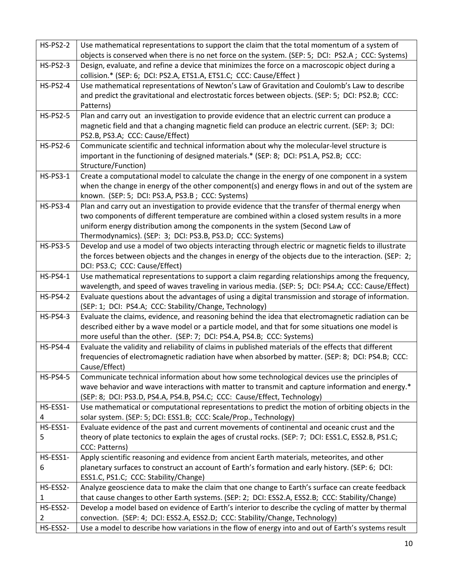| <b>HS-PS2-2</b> | Use mathematical representations to support the claim that the total momentum of a system of                                                                                                                 |
|-----------------|--------------------------------------------------------------------------------------------------------------------------------------------------------------------------------------------------------------|
|                 | objects is conserved when there is no net force on the system. (SEP: 5; DCI: PS2.A; CCC: Systems)                                                                                                            |
| <b>HS-PS2-3</b> | Design, evaluate, and refine a device that minimizes the force on a macroscopic object during a                                                                                                              |
|                 | collision.* (SEP: 6; DCI: PS2.A, ETS1.A, ETS1.C; CCC: Cause/Effect)                                                                                                                                          |
| <b>HS-PS2-4</b> | Use mathematical representations of Newton's Law of Gravitation and Coulomb's Law to describe                                                                                                                |
|                 | and predict the gravitational and electrostatic forces between objects. (SEP: 5; DCI: PS2.B; CCC:                                                                                                            |
|                 | Patterns)                                                                                                                                                                                                    |
| <b>HS-PS2-5</b> | Plan and carry out an investigation to provide evidence that an electric current can produce a                                                                                                               |
|                 | magnetic field and that a changing magnetic field can produce an electric current. (SEP: 3; DCI:                                                                                                             |
|                 | PS2.B, PS3.A; CCC: Cause/Effect)                                                                                                                                                                             |
| <b>HS-PS2-6</b> | Communicate scientific and technical information about why the molecular-level structure is                                                                                                                  |
|                 | important in the functioning of designed materials.* (SEP: 8; DCI: PS1.A, PS2.B; CCC:                                                                                                                        |
|                 | Structure/Function)                                                                                                                                                                                          |
| <b>HS-PS3-1</b> | Create a computational model to calculate the change in the energy of one component in a system                                                                                                              |
|                 | when the change in energy of the other component(s) and energy flows in and out of the system are                                                                                                            |
|                 | known. (SEP: 5; DCI: PS3.A, PS3.B; CCC: Systems)                                                                                                                                                             |
| <b>HS-PS3-4</b> | Plan and carry out an investigation to provide evidence that the transfer of thermal energy when                                                                                                             |
|                 | two components of different temperature are combined within a closed system results in a more                                                                                                                |
|                 | uniform energy distribution among the components in the system (Second Law of                                                                                                                                |
| <b>HS-PS3-5</b> | Thermodynamics). (SEP: 3; DCI: PS3.B, PS3.D; CCC: Systems)                                                                                                                                                   |
|                 | Develop and use a model of two objects interacting through electric or magnetic fields to illustrate<br>the forces between objects and the changes in energy of the objects due to the interaction. (SEP: 2; |
|                 | DCI: PS3.C; CCC: Cause/Effect)                                                                                                                                                                               |
| <b>HS-PS4-1</b> | Use mathematical representations to support a claim regarding relationships among the frequency,                                                                                                             |
|                 | wavelength, and speed of waves traveling in various media. (SEP: 5; DCI: PS4.A; CCC: Cause/Effect)                                                                                                           |
| <b>HS-PS4-2</b> | Evaluate questions about the advantages of using a digital transmission and storage of information.                                                                                                          |
|                 | (SEP: 1; DCI: PS4.A; CCC: Stability/Change, Technology)                                                                                                                                                      |
| <b>HS-PS4-3</b> | Evaluate the claims, evidence, and reasoning behind the idea that electromagnetic radiation can be                                                                                                           |
|                 | described either by a wave model or a particle model, and that for some situations one model is                                                                                                              |
|                 | more useful than the other. (SEP: 7; DCI: PS4.A, PS4.B; CCC: Systems)                                                                                                                                        |
| <b>HS-PS4-4</b> | Evaluate the validity and reliability of claims in published materials of the effects that different                                                                                                         |
|                 | frequencies of electromagnetic radiation have when absorbed by matter. (SEP: 8; DCI: PS4.B; CCC:                                                                                                             |
|                 | Cause/Effect)                                                                                                                                                                                                |
| <b>HS-PS4-5</b> | Communicate technical information about how some technological devices use the principles of                                                                                                                 |
|                 | wave behavior and wave interactions with matter to transmit and capture information and energy.*                                                                                                             |
|                 | (SEP: 8; DCI: PS3.D, PS4.A, PS4.B, PS4.C; CCC: Cause/Effect, Technology)                                                                                                                                     |
| HS-ESS1-        | Use mathematical or computational representations to predict the motion of orbiting objects in the                                                                                                           |
| 4               | solar system. (SEP: 5; DCI: ESS1.B; CCC: Scale/Prop., Technology)                                                                                                                                            |
| HS-ESS1-        | Evaluate evidence of the past and current movements of continental and oceanic crust and the                                                                                                                 |
| 5               | theory of plate tectonics to explain the ages of crustal rocks. (SEP: 7; DCI: ESS1.C, ESS2.B, PS1.C;<br>CCC: Patterns)                                                                                       |
| HS-ESS1-        | Apply scientific reasoning and evidence from ancient Earth materials, meteorites, and other                                                                                                                  |
| 6               | planetary surfaces to construct an account of Earth's formation and early history. (SEP: 6; DCI:                                                                                                             |
|                 | ESS1.C, PS1.C; CCC: Stability/Change)                                                                                                                                                                        |
| HS-ESS2-        | Analyze geoscience data to make the claim that one change to Earth's surface can create feedback                                                                                                             |
| 1               | that cause changes to other Earth systems. (SEP: 2; DCI: ESS2.A, ESS2.B; CCC: Stability/Change)                                                                                                              |
| HS-ESS2-        | Develop a model based on evidence of Earth's interior to describe the cycling of matter by thermal                                                                                                           |
| 2               | convection. (SEP: 4; DCI: ESS2.A, ESS2.D; CCC: Stability/Change, Technology)                                                                                                                                 |
| HS-ESS2-        | Use a model to describe how variations in the flow of energy into and out of Earth's systems result                                                                                                          |